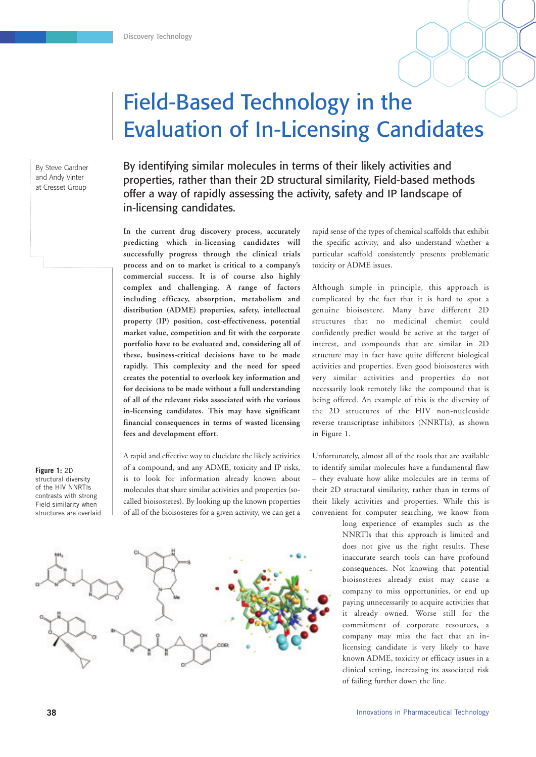# Field-Based Technology in the Evaluation of In-Licensing Candidates

By Steve Gardner and Andy Vinter at Cresset Group

By identifying similar molecules in terms of their likely activities and properties, rather than their 2D structural similarity, Field-based methods offer a way of rapidly assessing the activity, safety and IP landscape of in-licensing candidates.

**In the current drug discovery process, accurately predicting which in-licensing candidates will successfully progress through the clinical trials process and on to market is critical to a company's commercial success. It is of course also highly complex and challenging. A range of factors including efficacy, absorption, metabolism and distribution (ADME) properties, safety, intellectual property (IP) position, cost-effectiveness, potential market value, competition and fit with the corporate portfolio have to be evaluated and, considering all of these, business-critical decisions have to be made rapidly. This complexity and the need for speed creates the potential to overlook key information and for decisions to be made without a full understanding of all of the relevant risks associated with the various in-licensing candidates. This may have significant financial consequences in terms of wasted licensing fees and development effort.**

A rapid and effective way to elucidate the likely activities of a compound, and any ADME, toxicity and IP risks, is to look for information already known about molecules that share similar activities and properties (socalled bioisosteres). By looking up the known properties of all of the bioisosteres for a given activity, we can get a

rapid sense of the types of chemical scaffolds that exhibit the specific activity, and also understand whether a particular scaffold consistently presents problematic toxicity or ADME issues.

Although simple in principle, this approach is complicated by the fact that it is hard to spot a genuine bioisostere. Many have different 2D structures that no medicinal chemist could confidently predict would be active at the target of interest, and compounds that are similar in 2D structure may in fact have quite different biological activities and properties. Even good bioisosteres with very similar activities and properties do not necessarily look remotely like the compound that is being offered. An example of this is the diversity of the 2D structures of the HIV non-nucleoside reverse transcriptase inhibitors (NNRTIs), as shown in Figure 1.

Unfortunately, almost all of the tools that are available to identify similar molecules have a fundamental flaw – they evaluate how alike molecules are in terms of their 2D structural similarity, rather than in terms of their likely activities and properties. While this is convenient for computer searching, we know from

> long experience of examples such as the NNRTIs that this approach is limited and does not give us the right results. These inaccurate search tools can have profound consequences. Not knowing that potential bioisosteres already exist may cause a company to miss opportunities, or end up paying unnecessarily to acquire activities that it already owned. Worse still for the commitment of corporate resources, a company may miss the fact that an inlicensing candidate is very likely to have known ADME, toxicity or efficacy issues in a clinical setting, increasing its associated risk of failing further down the line.

**Figure 1:** 2D structural diversity of the HIV NNRTIs contrasts with strong Field similarity when structures are overlaid

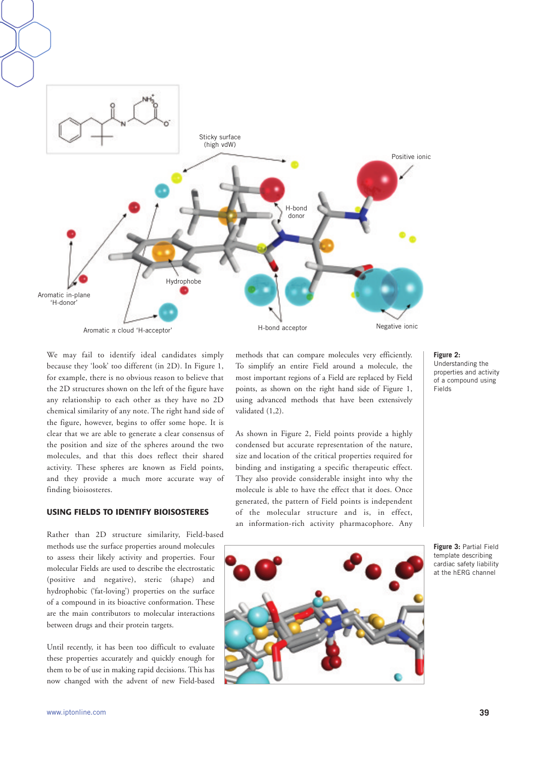

We may fail to identify ideal candidates simply because they 'look' too different (in 2D). In Figure 1, for example, there is no obvious reason to believe that the 2D structures shown on the left of the figure have any relationship to each other as they have no 2D chemical similarity of any note. The right hand side of the figure, however, begins to offer some hope. It is clear that we are able to generate a clear consensus of the position and size of the spheres around the two molecules, and that this does reflect their shared activity. These spheres are known as Field points, and they provide a much more accurate way of finding bioisosteres.

#### **USING FIELDS TO IDENTIFY BIOISOSTERES**

Rather than 2D structure similarity, Field-based methods use the surface properties around molecules to assess their likely activity and properties. Four molecular Fields are used to describe the electrostatic (positive and negative), steric (shape) and hydrophobic ('fat-loving') properties on the surface of a compound in its bioactive conformation. These are the main contributors to molecular interactions between drugs and their protein targets.

Until recently, it has been too difficult to evaluate these properties accurately and quickly enough for them to be of use in making rapid decisions. This has now changed with the advent of new Field-based

methods that can compare molecules very efficiently. To simplify an entire Field around a molecule, the most important regions of a Field are replaced by Field points, as shown on the right hand side of Figure 1, using advanced methods that have been extensively validated (1,2).

As shown in Figure 2, Field points provide a highly condensed but accurate representation of the nature, size and location of the critical properties required for binding and instigating a specific therapeutic effect. They also provide considerable insight into why the molecule is able to have the effect that it does. Once generated, the pattern of Field points is independent of the molecular structure and is, in effect, an information-rich activity pharmacophore. Any



**Figure 2:** Understanding the properties and activity of a compound using Fields

**Figure 3:** Partial Field template describing cardiac safety liability at the hERG channel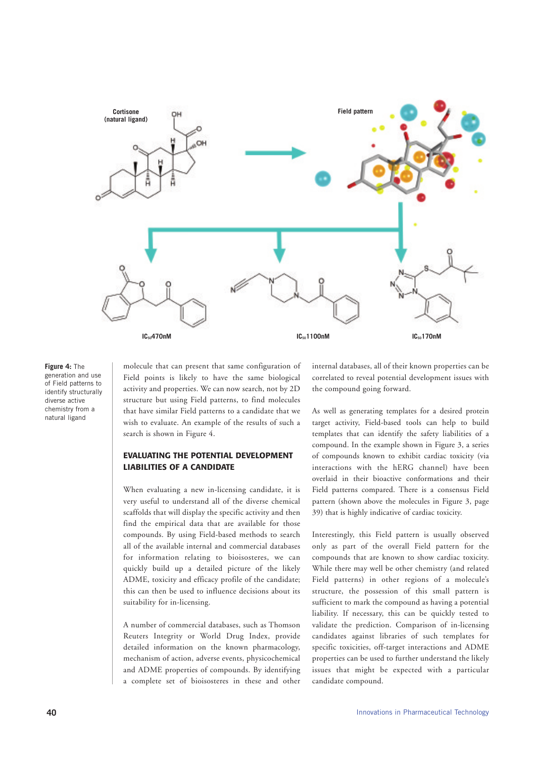

# **Figure 4:** The generation and use

of Field patterns to identify structurally diverse active chemistry from a natural ligand

molecule that can present that same configuration of Field points is likely to have the same biological activity and properties. We can now search, not by 2D structure but using Field patterns, to find molecules that have similar Field patterns to a candidate that we wish to evaluate. An example of the results of such a search is shown in Figure 4.

# **EVALUATING THE POTENTIAL DEVELOPMENT LIABILITIES OF A CANDIDATE**

When evaluating a new in-licensing candidate, it is very useful to understand all of the diverse chemical scaffolds that will display the specific activity and then find the empirical data that are available for those compounds. By using Field-based methods to search all of the available internal and commercial databases for information relating to bioisosteres, we can quickly build up a detailed picture of the likely ADME, toxicity and efficacy profile of the candidate; this can then be used to influence decisions about its suitability for in-licensing.

A number of commercial databases, such as Thomson Reuters Integrity or World Drug Index, provide detailed information on the known pharmacology, mechanism of action, adverse events, physicochemical and ADME properties of compounds. By identifying a complete set of bioisosteres in these and other internal databases, all of their known properties can be correlated to reveal potential development issues with the compound going forward.

As well as generating templates for a desired protein target activity, Field-based tools can help to build templates that can identify the safety liabilities of a compound. In the example shown in Figure 3, a series of compounds known to exhibit cardiac toxicity (via interactions with the hERG channel) have been overlaid in their bioactive conformations and their Field patterns compared. There is a consensus Field pattern (shown above the molecules in Figure 3, page 39) that is highly indicative of cardiac toxicity.

Interestingly, this Field pattern is usually observed only as part of the overall Field pattern for the compounds that are known to show cardiac toxicity. While there may well be other chemistry (and related Field patterns) in other regions of a molecule's structure, the possession of this small pattern is sufficient to mark the compound as having a potential liability. If necessary, this can be quickly tested to validate the prediction. Comparison of in-licensing candidates against libraries of such templates for specific toxicities, off-target interactions and ADME properties can be used to further understand the likely issues that might be expected with a particular candidate compound.